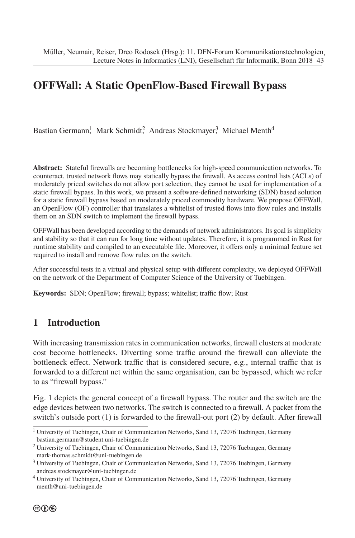# **OFFWall: A Static OpenFlow-Based Firewall Bypass**

Bastian Germann, Mark Schmidt, Andreas Stockmayer, Michael Menth<sup>4</sup>

**Abstract:** Stateful firewalls are becoming bottlenecks for high-speed communication networks. To counteract, trusted network flows may statically bypass the firewall. As access control lists (ACLs) of moderately priced switches do not allow port selection, they cannot be used for implementation of a static firewall bypass. In this work, we present a software-defined networking (SDN) based solution for a static firewall bypass based on moderately priced commodity hardware. We propose OFFWall, an OpenFlow (OF) controller that translates a whitelist of trusted flows into flow rules and installs them on an SDN switch to implement the firewall bypass.

OFFWall has been developed according to the demands of network administrators. Its goal is simplicity and stability so that it can run for long time without updates. Therefore, it is programmed in Rust for runtime stability and compiled to an executable file. Moreover, it offers only a minimal feature set required to install and remove flow rules on the switch.

After successful tests in a virtual and physical setup with different complexity, we deployed OFFWall on the network of the Department of Computer Science of the University of Tuebingen.

**Keywords:** SDN; OpenFlow; firewall; bypass; whitelist; traffic flow; Rust

## **1 Introduction**

With increasing transmission rates in communication networks, firewall clusters at moderate cost become bottlenecks. Diverting some traffic around the firewall can alleviate the bottleneck effect. Network traffic that is considered secure, e.g., internal traffic that is forwarded to a different net within the same organisation, can be bypassed, which we refer to as "firewall bypass."

Fig. 1 depicts the general concept of a firewall bypass. The router and the switch are the edge devices between two networks. The switch is connected to a firewall. A packet from the switch's outside port (1) is forwarded to the firewall-out port (2) by default. After firewall

<sup>&</sup>lt;sup>1</sup> University of Tuebingen, Chair of Communication Networks, Sand 13, 72076 Tuebingen, Germany bastian.germann@student.uni-tuebingen.de

<sup>2</sup> University of Tuebingen, Chair of Communication Networks, Sand 13, 72076 Tuebingen, Germany mark-thomas.schmidt@uni-tuebingen.de

<sup>3</sup> University of Tuebingen, Chair of Communication Networks, Sand 13, 72076 Tuebingen, Germany andreas.stockmayer@uni-tuebingen.de

<sup>4</sup> University of Tuebingen, Chair of Communication Networks, Sand 13, 72076 Tuebingen, Germany menth@uni-tuebingen.de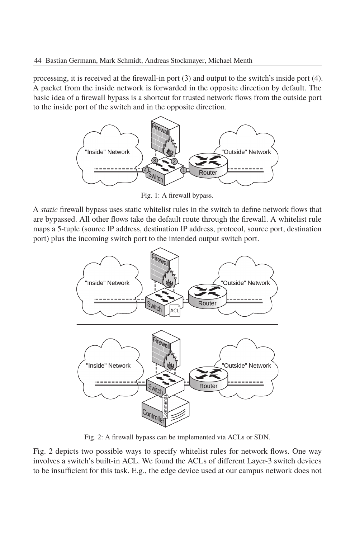processing, it is received at the firewall-in port (3) and output to the switch's inside port (4). A packet from the inside network is forwarded in the opposite direction by default. The basic idea of a firewall bypass is a shortcut for trusted network flows from the outside port to the inside port of the switch and in the opposite direction.



Fig. 1: A firewall bypass.

A *static* firewall bypass uses static whitelist rules in the switch to define network flows that are bypassed. All other flows take the default route through the firewall. A whitelist rule maps a 5-tuple (source IP address, destination IP address, protocol, source port, destination port) plus the incoming switch port to the intended output switch port.



Fig. 2: A firewall bypass can be implemented via ACLs or SDN.

Fig. 2 depicts two possible ways to specify whitelist rules for network flows. One way involves a switch's built-in ACL. We found the ACLs of different Layer-3 switch devices to be insufficient for this task. E.g., the edge device used at our campus network does not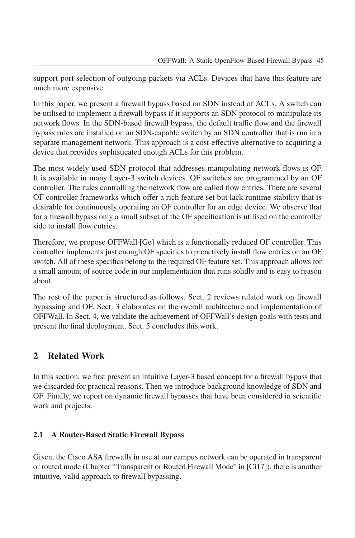support port selection of outgoing packets via ACLs. Devices that have this feature are much more expensive.

In this paper, we present a firewall bypass based on SDN instead of ACLs. A switch can be utilised to implement a firewall bypass if it supports an SDN protocol to manipulate its network flows. In the SDN-based firewall bypass, the default traffic flow and the firewall bypass rules are installed on an SDN-capable switch by an SDN controller that is run in a separate management network. This approach is a cost-effective alternative to acquiring a device that provides sophisticated enough ACLs for this problem.

The most widely used SDN protocol that addresses manipulating network flows is OF. It is available in many Layer-3 switch devices. OF switches are programmed by an OF controller. The rules controlling the network flow are called flow entries. There are several OF controller frameworks which offer a rich feature set but lack runtime stability that is desirable for continuously operating an OF controller for an edge device. We observe that for a firewall bypass only a small subset of the OF specification is utilised on the controller side to install flow entries.

Therefore, we propose OFFWall [Ge] which is a functionally reduced OF controller. This controller implements just enough OF specifics to proactively install flow entries on an OF switch. All of these specifics belong to the required OF feature set. This approach allows for a small amount of source code in our implementation that runs solidly and is easy to reason about.

The rest of the paper is structured as follows. Sect. 2 reviews related work on firewall bypassing and OF. Sect. 3 elaborates on the overall architecture and implementation of OFFWall. In Sect. 4, we validate the achievement of OFFWall's design goals with tests and present the final deployment. Sect. 5 concludes this work.

## **2 Related Work**

In this section, we first present an intuitive Layer-3 based concept for a firewall bypass that we discarded for practical reasons. Then we introduce background knowledge of SDN and OF. Finally, we report on dynamic firewall bypasses that have been considered in scientific work and projects.

#### **2.1 A Router-Based Static Firewall Bypass**

Given, the Cisco ASA firewalls in use at our campus network can be operated in transparent or routed mode (Chapter "Transparent or Routed Firewall Mode" in [Ci17]), there is another intuitive, valid approach to firewall bypassing.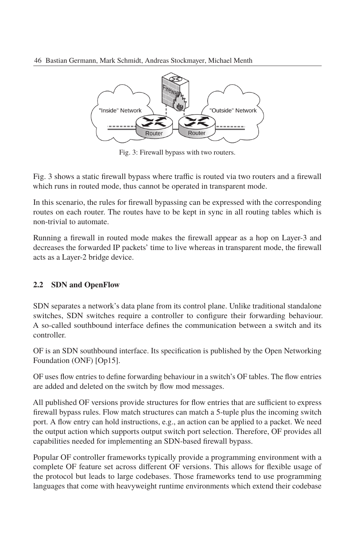

Fig. 3: Firewall bypass with two routers.

Fig. 3 shows a static firewall bypass where traffic is routed via two routers and a firewall which runs in routed mode, thus cannot be operated in transparent mode.

In this scenario, the rules for firewall bypassing can be expressed with the corresponding routes on each router. The routes have to be kept in sync in all routing tables which is non-trivial to automate.

Running a firewall in routed mode makes the firewall appear as a hop on Layer-3 and decreases the forwarded IP packets' time to live whereas in transparent mode, the firewall acts as a Layer-2 bridge device.

#### **2.2 SDN and OpenFlow**

SDN separates a network's data plane from its control plane. Unlike traditional standalone switches, SDN switches require a controller to configure their forwarding behaviour. A so-called southbound interface defines the communication between a switch and its controller.

OF is an SDN southbound interface. Its specification is published by the Open Networking Foundation (ONF) [Op15].

OF uses flow entries to define forwarding behaviour in a switch's OF tables. The flow entries are added and deleted on the switch by flow mod messages.

All published OF versions provide structures for flow entries that are sufficient to express firewall bypass rules. Flow match structures can match a 5-tuple plus the incoming switch port. A flow entry can hold instructions, e.g., an action can be applied to a packet. We need the output action which supports output switch port selection. Therefore, OF provides all capabilities needed for implementing an SDN-based firewall bypass.

Popular OF controller frameworks typically provide a programming environment with a complete OF feature set across different OF versions. This allows for flexible usage of the protocol but leads to large codebases. Those frameworks tend to use programming languages that come with heavyweight runtime environments which extend their codebase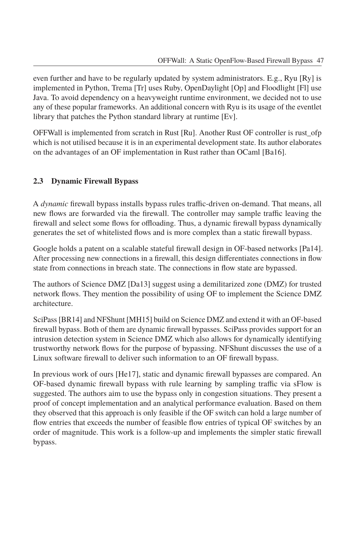even further and have to be regularly updated by system administrators. E.g., Ryu [Ry] is implemented in Python, Trema [Tr] uses Ruby, OpenDaylight [Op] and Floodlight [Fl] use Java. To avoid dependency on a heavyweight runtime environment, we decided not to use any of these popular frameworks. An additional concern with Ryu is its usage of the eventlet library that patches the Python standard library at runtime [Ev].

OFFWall is implemented from scratch in Rust [Ru]. Another Rust OF controller is rust\_ofp which is not utilised because it is in an experimental development state. Its author elaborates on the advantages of an OF implementation in Rust rather than OCaml [Ba16].

#### **2.3 Dynamic Firewall Bypass**

A *dynamic* firewall bypass installs bypass rules traffic-driven on-demand. That means, all new flows are forwarded via the firewall. The controller may sample traffic leaving the firewall and select some flows for offloading. Thus, a dynamic firewall bypass dynamically generates the set of whitelisted flows and is more complex than a static firewall bypass.

Google holds a patent on a scalable stateful firewall design in OF-based networks [Pa14]. After processing new connections in a firewall, this design differentiates connections in flow state from connections in breach state. The connections in flow state are bypassed.

The authors of Science DMZ [Da13] suggest using a demilitarized zone (DMZ) for trusted network flows. They mention the possibility of using OF to implement the Science DMZ architecture.

SciPass [BR14] and NFShunt [MH15] build on Science DMZ and extend it with an OF-based firewall bypass. Both of them are dynamic firewall bypasses. SciPass provides support for an intrusion detection system in Science DMZ which also allows for dynamically identifying trustworthy network flows for the purpose of bypassing. NFShunt discusses the use of a Linux software firewall to deliver such information to an OF firewall bypass.

In previous work of ours [He17], static and dynamic firewall bypasses are compared. An OF-based dynamic firewall bypass with rule learning by sampling traffic via sFlow is suggested. The authors aim to use the bypass only in congestion situations. They present a proof of concept implementation and an analytical performance evaluation. Based on them they observed that this approach is only feasible if the OF switch can hold a large number of flow entries that exceeds the number of feasible flow entries of typical OF switches by an order of magnitude. This work is a follow-up and implements the simpler static firewall bypass.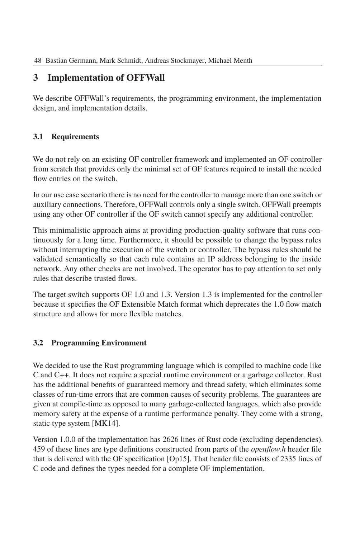## **3 Implementation of OFFWall**

We describe OFFWall's requirements, the programming environment, the implementation design, and implementation details.

### **3.1 Requirements**

We do not rely on an existing OF controller framework and implemented an OF controller from scratch that provides only the minimal set of OF features required to install the needed flow entries on the switch.

In our use case scenario there is no need for the controller to manage more than one switch or auxiliary connections. Therefore, OFFWall controls onlyasingle switch. OFFWall preempts using any other OF controller if the OF switch cannot specify any additional controller.

This minimalistic approach aims at providing production-quality software that runs continuously for a long time. Furthermore, it should be possible to change the bypass rules without interrupting the execution of the switch or controller. The bypass rules should be validated semantically so that each rule contains an IP address belonging to the inside network. Any other checks are not involved. The operator has to pay attention to set only rules that describe trusted flows.

The target switch supports OF 1.0 and 1.3. Version 1.3 is implemented for the controller because it specifies the OF Extensible Match format which deprecates the 1.0 flow match structure and allows for more flexible matches.

### **3.2 Programming Environment**

We decided to use the Rust programming language which is compiled to machine code like C and C++. It does not require a special runtime environment or a garbage collector. Rust has the additional benefits of guaranteed memory and thread safety, which eliminates some classes of run-time errors that are common causes of security problems. The guarantees are given at compile-time as opposed to many garbage-collected languages, which also provide memory safety at the expense of a runtime performance penalty. They come with a strong, static type system [MK14].

Version 1.0.0 of the implementation has 2626 lines of Rust code (excluding dependencies). 459 of these lines are type definitions constructed from parts of the *openflow.h* header file that is delivered with the OF specification [Op15]. That header file consists of 2335 lines of C code and defines the types needed for a complete OF implementation.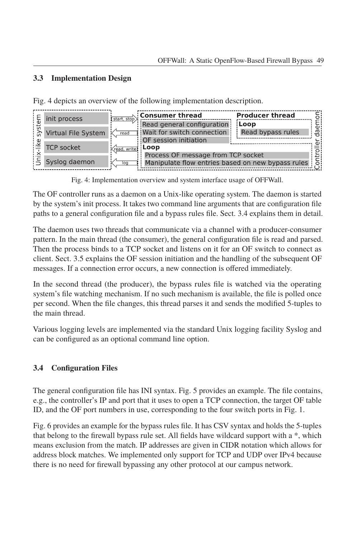#### **3.3 Implementation Design**

Fig. 4 depicts an overview of the following implementation description.

|  | init process         | start, stop)                                                    | <b>Consumer thread</b>                            | <b>Producer thread</b> |                |
|--|----------------------|-----------------------------------------------------------------|---------------------------------------------------|------------------------|----------------|
|  |                      |                                                                 | Read general configuration                        | Loop                   | υ١             |
|  | Virtual File System  | read                                                            | Wait for switch connection                        | Read bypass rules      | ਨ              |
|  |                      |                                                                 | OF session initiation                             |                        |                |
|  | <b>TCP socket</b>    | <read, td="" write<=""><td>:Loop</td><td></td><td></td></read,> | :Loop                                             |                        |                |
|  |                      |                                                                 | Process OF message from TCP socket                |                        |                |
|  | Syslog daemon<br>log |                                                                 | Manipulate flow entries based on new bypass rules |                        | $\overline{5}$ |
|  |                      |                                                                 |                                                   |                        |                |

Fig. 4: Implementation overview and system interface usage of OFFWall.

The OF controller runs as a daemon on a Unix-like operating system. The daemon is started by the system's init process. It takes two command line arguments that are configuration file paths to a general configuration file and a bypass rules file. Sect. 3.4 explains them in detail.

The daemon uses two threads that communicate via a channel with a producer-consumer pattern. In the main thread (the consumer), the general configuration file is read and parsed. Then the process binds to a TCP socket and listens on it for an OF switch to connect as client. Sect. 3.5 explains the OF session initiation and the handling of the subsequent OF messages. If a connection error occurs, a new connection is offered immediately.

In the second thread (the producer), the bypass rules file is watched via the operating system's file watching mechanism. If no such mechanism is available, the file is polled once per second. When the file changes, this thread parses it and sends the modified 5-tuples to the main thread.

Various logging levels are implemented via the standard Unix logging facility Syslog and can be configured as an optional command line option.

#### **3.4 Configuration Files**

The general configuration file has INI syntax. Fig. 5 provides an example. The file contains, e.g., the controller's IP and port that it uses to open a TCP connection, the target OF table ID, and the OF port numbers in use, corresponding to the four switch ports in Fig. 1.

Fig. 6 provides an example for the bypass rules file. It has CSV syntax and holds the 5-tuples that belong to the firewall bypass rule set. All fields have wildcard support with a \*, which means exclusion from the match. IP addresses are given in CIDR notation which allows for address block matches. We implemented only support for TCP and UDP over IPv4 because there is no need for firewall bypassing any other protocol at our campus network.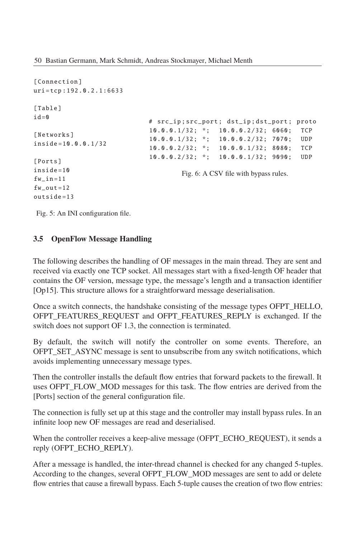50 Bastian Germann, Mark Schmidt, Andreas Stockmayer, Michael Menth

```
[ Connection ]
uri= tcp :192.0.2.1:6633
[Table]
id = 0[ Networks]
inside =10.0.0.1/32
[ Ports]
inside =10
f_{W\_in} = 11fw_out = 12outside =13
                               # src_ip ; src_port ; dst_ip ; dst_port ; proto
                              10.0.0.1/32; *; 10.0.0.2/32; 6060; TCP
                               10.0.0.1/32; *; 10.0.0.2/32; 7070; UDP
                               10.0.0.2/32; *; 10.0.0.1/32; 8080; TCP
                               10.0.0.2/32; *; 10.0.0.1/32; 9090; UDP
                                       Fig. 6: A CSV file with bypass rules.
```
Fig. 5: An INI configuration file.

#### **3.5 OpenFlow Message Handling**

The following describes the handling of OF messages in the main thread. They are sent and received via exactly one TCP socket. All messages start with a fixed-length OF header that contains the OF version, message type, the message's length and a transaction identifier [Op15]. This structure allows for a straightforward message deserialisation.

Once a switch connects, the handshake consisting of the message types OFPT\_HELLO, OFPT\_FEATURES\_REQUEST\_and\_OFPT\_FEATURES\_REPLY\_is exchanged. If the switch does not support OF 1.3, the connection is terminated.

By default, the switch will notify the controller on some events. Therefore, an OFPT\_SET\_ASYNC message is sent to unsubscribe from any switch notifications, which avoids implementing unnecessary message types.

Then the controller installs the default flow entries that forward packets to the firewall. It uses OFPT\_FLOW\_MOD messages for this task. The flow entries are derived from the [Ports] section of the general configuration file.

The connection is fully set up at this stage and the controller may install bypass rules. In an infinite loop new OF messages are read and deserialised.

When the controller receives a keep-alive message (OFPT\_ECHO\_REQUEST), it sends a reply (OFPT\_ECHO\_REPLY).

After a message is handled, the inter-thread channel is checked for any changed 5-tuples. According to the changes, several OFPT\_FLOW\_MOD messages are sent to add or delete flow entries that cause a firewall bypass. Each 5-tuple causes the creation of two flow entries: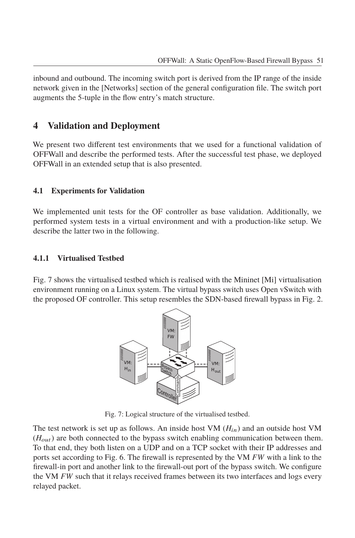inbound and outbound. The incoming switch port is derived from the IP range of the inside network given in the [Networks] section of the general configuration file. The switch port augments the 5-tuple in the flow entry's match structure.

## **4 Validation and Deployment**

We present two different test environments that we used for a functional validation of OFFWall and describe the performed tests. After the successful test phase, we deployed OFFWall in an extended setup that is also presented.

#### **4.1 Experiments for Validation**

We implemented unit tests for the OF controller as base validation. Additionally, we performed system tests in a virtual environment and with a production-like setup. We describe the latter two in the following.

#### **4.1.1 Virtualised Testbed**

Fig. 7 shows the virtualised testbed which is realised with the Mininet [Mi] virtualisation environment running on a Linux system. The virtual bypass switch uses Open vSwitch with the proposed OF controller. This setup resembles the SDN-based firewall bypass in Fig. 2.



Fig. 7: Logical structure of the virtualised testbed.

The test network is set up as follows. An inside host VM  $(H_{in})$  and an outside host VM  $(H_{out})$  are both connected to the bypass switch enabling communication between them. To that end, they both listen on a UDP and on a TCP socket with their IP addresses and ports set according to Fig. 6. The firewall is represented by the VM *FW* with a link to the firewall-in port and another link to the firewall-out port of the bypass switch. We configure the VM *FW* such that it relays received frames between its two interfaces and logs every relayed packet.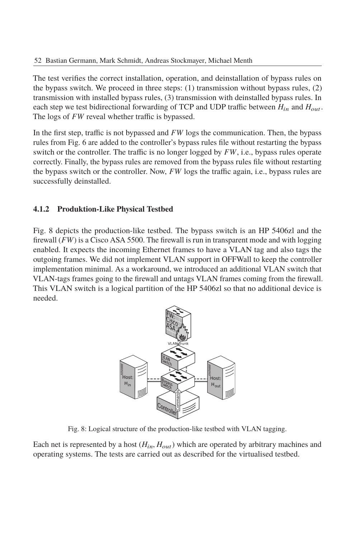The test verifies the correct installation, operation, and deinstallation of bypass rules on the bypass switch. We proceed in three steps: (1) transmission without bypass rules, (2) transmission with installed bypass rules, (3) transmission with deinstalled bypass rules. In each step we test bidirectional forwarding of TCP and UDP traffic between  $H_{in}$  and  $H_{out}$ . The logs of *FW* reveal whether traffic is bypassed.

In the first step, traffic is not bypassed and *FW* logs the communication. Then, the bypass rules from Fig. 6 are added to the controller's bypass rules file without restarting the bypass switch or the controller. The traffic is no longer logged by *FW*, i.e., bypass rules operate correctly. Finally, the bypass rules are removed from the bypass rules file without restarting the bypass switch or the controller. Now, *FW* logs the traffic again, i.e., bypass rules are successfully deinstalled.

#### **4.1.2 Produktion-Like Physical Testbed**

Fig. 8 depicts the production-like testbed. The bypass switch is an HP 5406zl and the firewall (*FW*) is a Cisco ASA 5500. The firewall is run in transparent mode and with logging enabled. It expects the incoming Ethernet frames to have a VLAN tag and also tags the outgoing frames. We did not implement VLAN support in OFFWall to keep the controller implementation minimal. As a workaround, we introduced an additional VLAN switch that VLAN-tags frames going to the firewall and untags VLAN frames coming from the firewall. This VLAN switch is a logical partition of the HP 5406zl so that no additional device is needed.



Fig. 8: Logical structure of the production-like testbed with VLAN tagging.

Each net is represented by a host  $(H_{in}, H_{out})$  which are operated by arbitrary machines and operating systems. The tests are carried out as described for the virtualised testbed.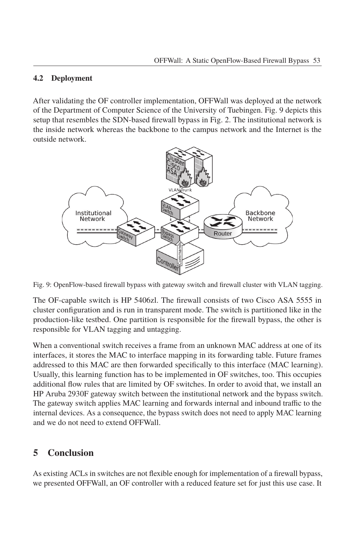#### **4.2 Deployment**

After validating the OF controller implementation, OFFWall was deployed at the network of the Department of Computer Science of the University of Tuebingen. Fig. 9 depicts this setup that resembles the SDN-based firewall bypass in Fig. 2. The institutional network is the inside network whereas the backbone to the campus network and the Internet is the outside network.



Fig. 9: OpenFlow-based firewall bypass with gateway switch and firewall cluster with VLAN tagging.

The OF-capable switch is HP 5406zl. The firewall consists of two Cisco ASA 5555 in cluster configuration and is run in transparent mode. The switch is partitioned like in the production-like testbed. One partition is responsible for the firewall bypass, the other is responsible for VLAN tagging and untagging.

When a conventional switch receives a frame from an unknown MAC address at one of its interfaces, it stores the MAC to interface mapping in its forwarding table. Future frames addressed to this MAC are then forwarded specifically to this interface (MAC learning). Usually, this learning function has to be implemented in OF switches, too. This occupies additional flow rules that are limited by OF switches. In order to avoid that, we install an HP Aruba 2930F gateway switch between the institutional network and the bypass switch. The gateway switch applies MAC learning and forwards internal and inbound traffic to the internal devices. As a consequence, the bypass switch does not need to apply MAC learning and we do not need to extend OFFWall.

## **5 Conclusion**

As existing ACLs in switches are not flexible enough for implementation of a firewall bypass, we presented OFFWall, an OF controller with a reduced feature set for just this use case. It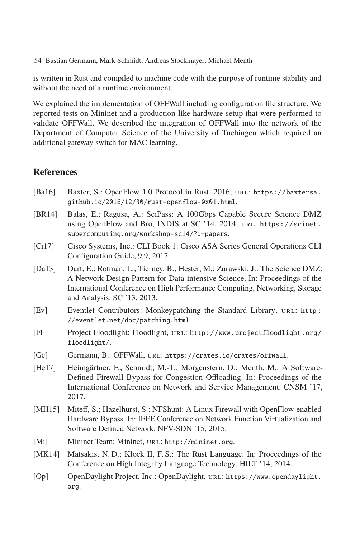is written in Rust and compiled to machine code with the purpose of runtime stability and without the need of a runtime environment.

We explained the implementation of OFFWall including configuration file structure. We reported tests on Mininet and a production-like hardware setup that were performed to validate OFFWall. We described the integration of OFFWall into the network of the Department of Computer Science of the University of Tuebingen which required an additional gateway switch for MAC learning.

## **References**

| [Ba16] | Baxter, S.: OpenFlow 1.0 Protocol in Rust, 2016, URL: https://baxtersa.<br>qithub.io/2016/12/30/rust-openflow-0x01.html.                                                                   |
|--------|--------------------------------------------------------------------------------------------------------------------------------------------------------------------------------------------|
| [BR14] | Balas, E.; Ragusa, A.: SciPass: A 100Gbps Capable Secure Science DMZ<br>using OpenFlow and Bro, INDIS at SC '14, 2014, URL: https://scinet.<br>supercomputing.org/workshop-sc14/?q=papers. |
| [Ci17] | Cisco Systems, Inc.: CLI Book 1: Cisco ASA Series General Operations CLI                                                                                                                   |

- Configuration Guide, 9.9, 2017. [Da13] Dart, E.; Rotman, L.; Tierney, B.; Hester, M.; Zurawski, J.: The Science DMZ: A Network Design Pattern for Data-intensive Science. In: Proceedings of the International Conference on High Performance Computing, Networking, Storage
- [Ev] Eventlet Contributors: Monkeypatching the Standard Library, url: http : //eventlet.net/doc/patching.html.
- [Fl] Project Floodlight: Floodlight, url: http://www.projectfloodlight.org/ floodlight/.
- [Ge] Germann, B.: OFFWall, url: https://crates.io/crates/offwall.
- [He17] Heimgärtner, F.; Schmidt, M.-T.; Morgenstern, D.; Menth, M.: A Software-Defined Firewall Bypass for Congestion Offloading. In: Proceedings of the International Conference on Network and Service Management. CNSM '17, 2017.
- [MH15] Miteff, S.; Hazelhurst, S.: NFShunt: A Linux Firewall with OpenFlow-enabled Hardware Bypass. In: IEEE Conference on Network Function Virtualization and Software Defined Network. NFV-SDN '15, 2015.
- [Mi] Mininet Team: Mininet, url: http://mininet.org.

and Analysis. SC '13, 2013.

- [MK14] Matsakis, N. D.; Klock II, F. S.: The Rust Language. In: Proceedings of the Conference on High Integrity Language Technology. HILT '14, 2014.
- [Op] OpenDaylight Project, Inc.: OpenDaylight, url: https://www.opendaylight. org.